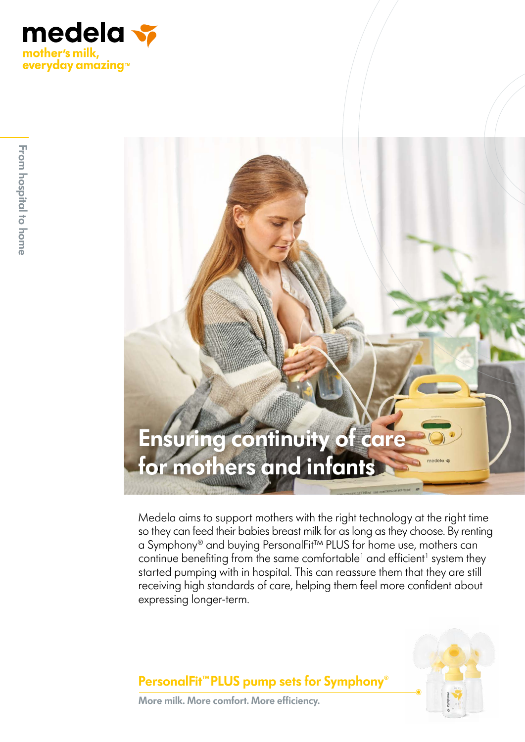

# **Ensuring continuity of care for mothers and infants**

Medela aims to support mothers with the right technology at the right time so they can feed their babies breast milk for as long as they choose. By renting a Symphony® and buying PersonalFit™ PLUS for home use, mothers can continue benefiting from the same comfortable<sup>1</sup> and efficient<sup>1</sup> system they started pumping with in hospital. This can reassure them that they are still receiving high standards of care, helping them feel more confident about expressing longer-term.



**PersonalFit™PLUS pump sets for Symphony**®

**More milk. More comfort. More efficiency.**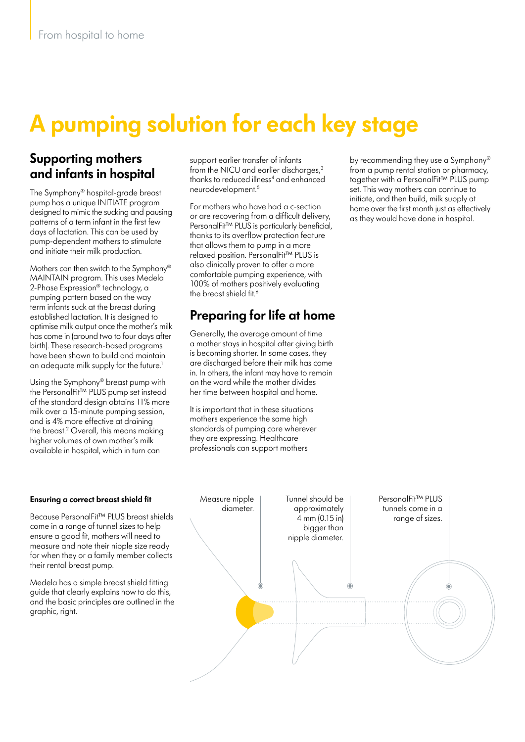# **A pumping solution for each key stage**

### **Supporting mothers and infants in hospital**

The Symphony® hospital-grade breast pump has a unique INITIATE program designed to mimic the sucking and pausing patterns of a term infant in the first few days of lactation. This can be used by pump-dependent mothers to stimulate and initiate their milk production.

Mothers can then switch to the Symphony® MAINTAIN program. This uses Medela 2-Phase Expression® technology, a pumping pattern based on the way term infants suck at the breast during established lactation. It is designed to optimise milk output once the mother's milk has come in (around two to four days after birth). These research-based programs have been shown to build and maintain an adequate milk supply for the future.<sup>1</sup>

Using the Symphony® breast pump with the PersonalFit™ PLUS pump set instead of the standard design obtains 11% more milk over a 15-minute pumping session, and is 4% more effective at draining the breast.2 Overall, this means making higher volumes of own mother's milk available in hospital, which in turn can

**Ensuring a correct breast shield fit**

Because PersonalFit™ PLUS breast shields come in a range of tunnel sizes to help ensure a good fit, mothers will need to measure and note their nipple size ready for when they or a family member collects their rental breast pump.

Medela has a simple breast shield fitting guide that clearly explains how to do this, and the basic principles are outlined in the graphic, right.

support earlier transfer of infants from the NICU and earlier discharges,<sup>3</sup> thanks to reduced illness<sup>4</sup> and enhanced neurodevelopment.5

For mothers who have had a c-section or are recovering from a difficult delivery, PersonalFit™ PLUS is particularly beneficial, thanks to its overflow protection feature that allows them to pump in a more relaxed position. PersonalFit™ PLUS is also clinically proven to offer a more comfortable pumping experience, with 100% of mothers positively evaluating the breast shield fit.<sup>6</sup>

## **Preparing for life at home**

Generally, the average amount of time a mother stays in hospital after giving birth is becoming shorter. In some cases, they are discharged before their milk has come in. In others, the infant may have to remain on the ward while the mother divides her time between hospital and home.

It is important that in these situations mothers experience the same high standards of pumping care wherever they are expressing. Healthcare professionals can support mothers

by recommending they use a Symphony® from a pump rental station or pharmacy, together with a PersonalFit™ PLUS pump set. This way mothers can continue to initiate, and then build, milk supply at home over the first month just as effectively as they would have done in hospital.

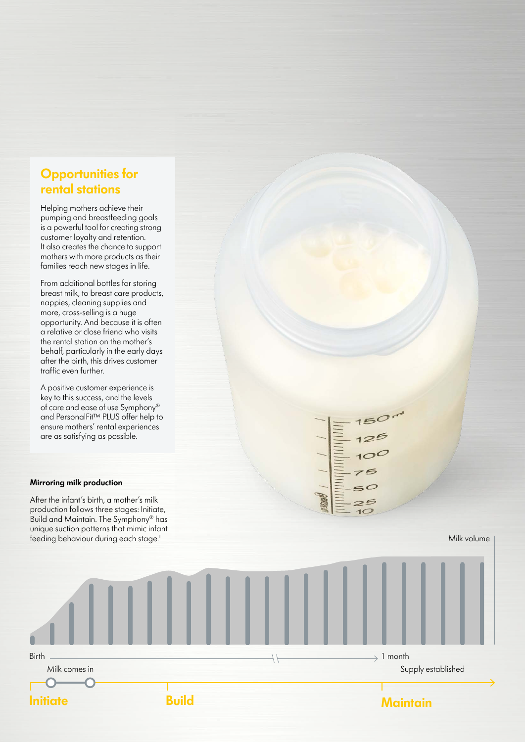### **Opportunities for rental stations**

Helping mothers achieve their pumping and breastfeeding goals is a powerful tool for creating strong customer loyalty and retention. It also creates the chance to support mothers with more products as their families reach new stages in life.

From additional bottles for storing breast milk, to breast care products, nappies, cleaning supplies and more, cross-selling is a huge opportunity. And because it is often a relative or close friend who visits the rental station on the mother's behalf, particularly in the early days after the birth, this drives customer traffic even further.

A positive customer experience is key to this success, and the levels of care and ease of use Symphony® and PersonalFit™ PLUS offer help to ensure mothers' rental experiences are as satisfying as possible.

#### **Mirroring milk production**

After the infant's birth, a mother's milk production follows three stages: Initiate, Build and Maintain. The Symphony® has unique suction patterns that mimic infant feeding behaviour during each stage.<sup>1</sup>